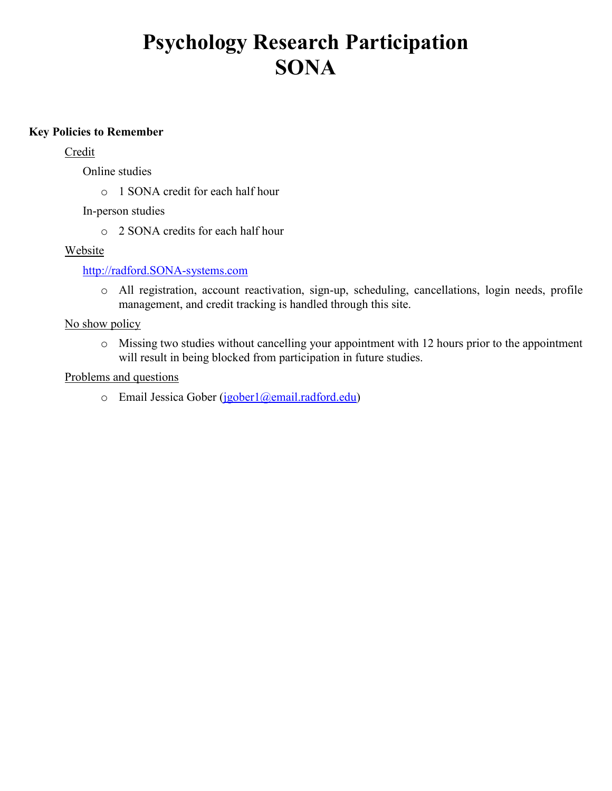## **Psychology Research Participation SONA**

#### **Key Policies to Remember**

#### **Credit**

Online studies

o 1 SONA credit for each half hour

In-person studies

o 2 SONA credits for each half hour

#### Website

#### [http://radford.SONA-systems.com](http://radford.sona-systems.com/)

o All registration, account reactivation, sign-up, scheduling, cancellations, login needs, profile management, and credit tracking is handled through this site.

#### No show policy

o Missing two studies without cancelling your appointment with 12 hours prior to the appointment will result in being blocked from participation in future studies.

#### Problems and questions

 $\circ$  Email Jessica Gober [\(jgober1@email.radford.edu\)](mailto:jgober1@email.radford.edu)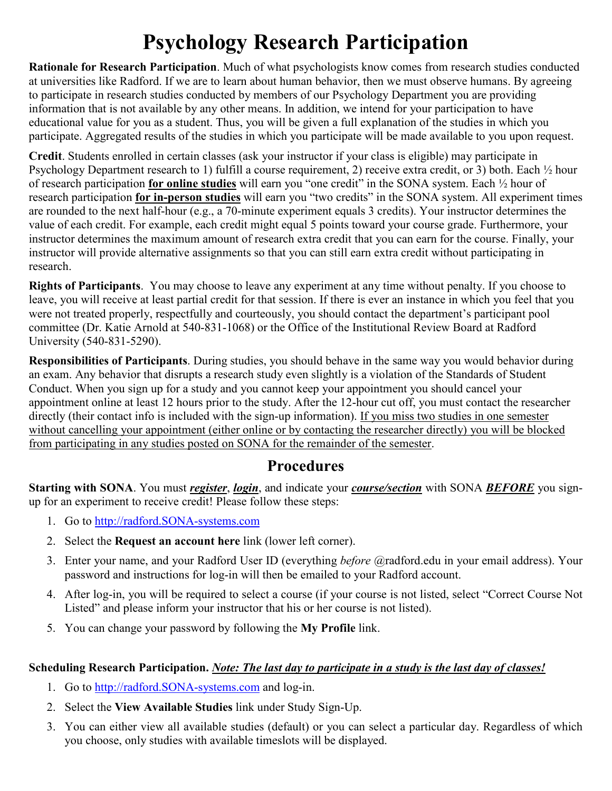# **Psychology Research Participation**

**Rationale for Research Participation**. Much of what psychologists know comes from research studies conducted at universities like Radford. If we are to learn about human behavior, then we must observe humans. By agreeing to participate in research studies conducted by members of our Psychology Department you are providing information that is not available by any other means. In addition, we intend for your participation to have educational value for you as a student. Thus, you will be given a full explanation of the studies in which you participate. Aggregated results of the studies in which you participate will be made available to you upon request.

**Credit**. Students enrolled in certain classes (ask your instructor if your class is eligible) may participate in Psychology Department research to 1) fulfill a course requirement, 2) receive extra credit, or 3) both. Each ½ hour of research participation **for online studies** will earn you "one credit" in the SONA system. Each ½ hour of research participation **for in-person studies** will earn you "two credits" in the SONA system. All experiment times are rounded to the next half-hour (e.g., a 70-minute experiment equals 3 credits). Your instructor determines the value of each credit. For example, each credit might equal 5 points toward your course grade. Furthermore, your instructor determines the maximum amount of research extra credit that you can earn for the course. Finally, your instructor will provide alternative assignments so that you can still earn extra credit without participating in research.

**Rights of Participants**. You may choose to leave any experiment at any time without penalty. If you choose to leave, you will receive at least partial credit for that session. If there is ever an instance in which you feel that you were not treated properly, respectfully and courteously, you should contact the department's participant pool committee (Dr. Katie Arnold at 540-831-1068) or the Office of the Institutional Review Board at Radford University (540-831-5290).

**Responsibilities of Participants**. During studies, you should behave in the same way you would behavior during an exam. Any behavior that disrupts a research study even slightly is a violation of the Standards of Student Conduct. When you sign up for a study and you cannot keep your appointment you should cancel your appointment online at least 12 hours prior to the study. After the 12-hour cut off, you must contact the researcher directly (their contact info is included with the sign-up information). If you miss two studies in one semester without cancelling your appointment (either online or by contacting the researcher directly) you will be blocked from participating in any studies posted on SONA for the remainder of the semester.

### **Procedures**

**Starting with SONA**. You must *register*, *login*, and indicate your *course/section* with SONA *BEFORE* you signup for an experiment to receive credit! Please follow these steps:

- 1. Go to [http://radford.SONA-systems.com](http://radford.sona-systems.com/)
- 2. Select the **Request an account here** link (lower left corner).
- 3. Enter your name, and your Radford User ID (everything *before* @radford.edu in your email address). Your password and instructions for log-in will then be emailed to your Radford account.
- 4. After log-in, you will be required to select a course (if your course is not listed, select "Correct Course Not Listed" and please inform your instructor that his or her course is not listed).
- 5. You can change your password by following the **My Profile** link.

### **Scheduling Research Participation.** *Note: The last day to participate in a study is the last day of classes!*

- 1. Go to [http://radford.SONA-systems.com](http://radford.sona-systems.com/) and log-in.
- 2. Select the **View Available Studies** link under Study Sign-Up.
- 3. You can either view all available studies (default) or you can select a particular day. Regardless of which you choose, only studies with available timeslots will be displayed.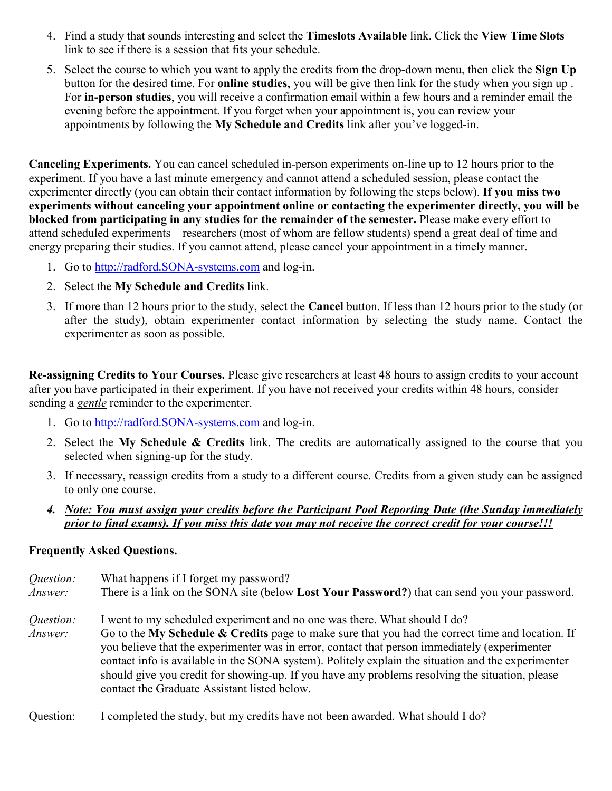- 4. Find a study that sounds interesting and select the **Timeslots Available** link. Click the **View Time Slots** link to see if there is a session that fits your schedule.
- 5. Select the course to which you want to apply the credits from the drop-down menu, then click the **Sign Up** button for the desired time. For **online studies**, you will be give then link for the study when you sign up . For **in-person studies**, you will receive a confirmation email within a few hours and a reminder email the evening before the appointment. If you forget when your appointment is, you can review your appointments by following the **My Schedule and Credits** link after you've logged-in.

**Canceling Experiments.** You can cancel scheduled in-person experiments on-line up to 12 hours prior to the experiment. If you have a last minute emergency and cannot attend a scheduled session, please contact the experimenter directly (you can obtain their contact information by following the steps below). **If you miss two experiments without canceling your appointment online or contacting the experimenter directly, you will be blocked from participating in any studies for the remainder of the semester.** Please make every effort to attend scheduled experiments – researchers (most of whom are fellow students) spend a great deal of time and energy preparing their studies. If you cannot attend, please cancel your appointment in a timely manner.

- 1. Go to [http://radford.SONA-systems.com](http://radford.sona-systems.com/) and log-in.
- 2. Select the **My Schedule and Credits** link.
- 3. If more than 12 hours prior to the study, select the **Cancel** button. If less than 12 hours prior to the study (or after the study), obtain experimenter contact information by selecting the study name. Contact the experimenter as soon as possible.

**Re-assigning Credits to Your Courses.** Please give researchers at least 48 hours to assign credits to your account after you have participated in their experiment. If you have not received your credits within 48 hours, consider sending a *gentle* reminder to the experimenter.

- 1. Go to [http://radford.SONA-systems.com](http://radford.sona-systems.com/) and log-in.
- 2. Select the **My Schedule & Credits** link. The credits are automatically assigned to the course that you selected when signing-up for the study.
- 3. If necessary, reassign credits from a study to a different course. Credits from a given study can be assigned to only one course.
- *4. Note: You must assign your credits before the Participant Pool Reporting Date (the Sunday immediately prior to final exams). If you miss this date you may not receive the correct credit for your course!!!*

#### **Frequently Asked Questions.**

*Question:* What happens if I forget my password? *Answer:* There is a link on the SONA site (below **Lost Your Password?**) that can send you your password. *Question:* I went to my scheduled experiment and no one was there. What should I do? *Answer:* Go to the **My Schedule & Credits** page to make sure that you had the correct time and location. If you believe that the experimenter was in error, contact that person immediately (experimenter contact info is available in the SONA system). Politely explain the situation and the experimenter should give you credit for showing-up. If you have any problems resolving the situation, please contact the Graduate Assistant listed below.

Question: I completed the study, but my credits have not been awarded. What should I do?